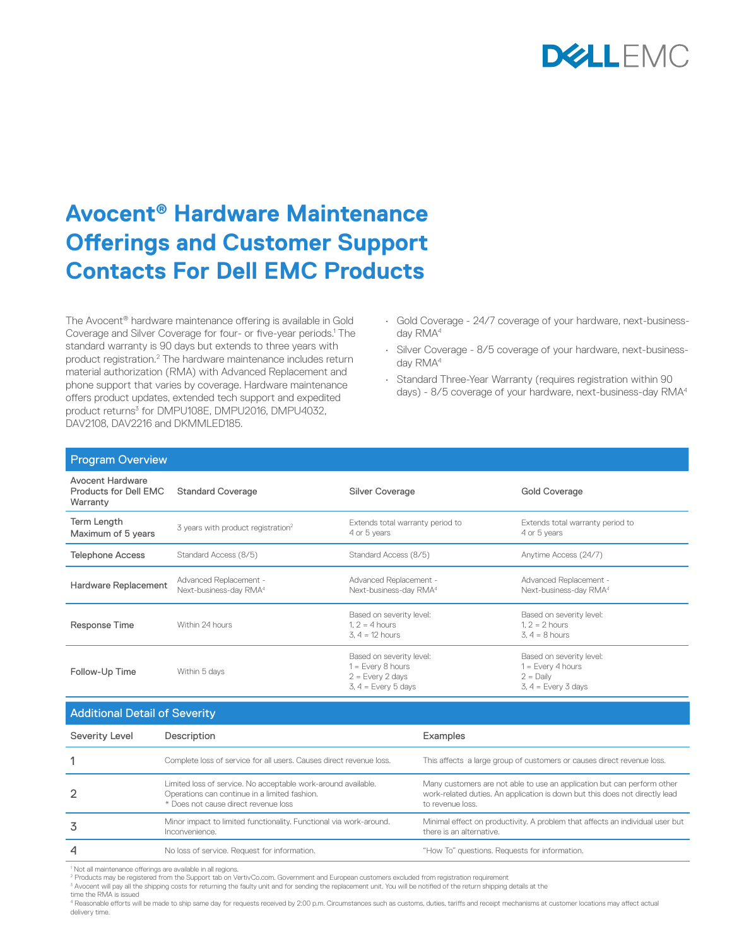

# **Avocent® Hardware Maintenance Offerings and Customer Support Contacts For Dell EMC Products**

The Avocent® hardware maintenance offering is available in Gold Coverage and Silver Coverage for four- or five-year periods.<sup>1</sup> The standard warranty is 90 days but extends to three years with product registration.<sup>2</sup> The hardware maintenance includes return material authorization (RMA) with Advanced Replacement and phone support that varies by coverage. Hardware maintenance offers product updates, extended tech support and expedited product returns<sup>3</sup> for DMPU108E, DMPU2016, DMPU4032, DAV2108, DAV2216 and DKMMLED185.

- Gold Coverage 24/7 coverage of your hardware, next-businessday RMA<sup>4</sup>
- Silver Coverage 8/5 coverage of your hardware, next-businessday RMA4
- Standard Three-Year Warranty (requires registration within 90 days) - 8/5 coverage of your hardware, next-business-day RMA4

| <b>Program Overview</b>                               |                                                              |                                                                                                |                                                                                         |
|-------------------------------------------------------|--------------------------------------------------------------|------------------------------------------------------------------------------------------------|-----------------------------------------------------------------------------------------|
| Avocent Hardware<br>Products for Dell EMC<br>Warranty | <b>Standard Coverage</b>                                     | Silver Coverage                                                                                | Gold Coverage                                                                           |
| Term Length<br>Maximum of 5 years                     | 3 years with product registration <sup>2</sup>               | Extends total warranty period to<br>4 or 5 years                                               | Extends total warranty period to<br>4 or 5 years                                        |
| <b>Telephone Access</b>                               | Standard Access (8/5)                                        | Standard Access (8/5)                                                                          | Anytime Access (24/7)                                                                   |
| Hardware Replacement                                  | Advanced Replacement -<br>Next-business-day RMA <sup>4</sup> | Advanced Replacement -<br>Next-business-day RMA <sup>4</sup>                                   | Advanced Replacement -<br>Next-business-day RMA <sup>4</sup>                            |
| Response Time                                         | Within 24 hours                                              | Based on severity level:<br>$1.2 = 4$ hours<br>$3, 4 = 12$ hours                               | Based on severity level:<br>$1.2 = 2$ hours<br>$3.4 = 8$ hours                          |
| Follow-Up Time                                        | Within 5 days                                                | Based on severity level:<br>$1 = Every 8 hours$<br>$2 = Every 2 days$<br>$3, 4 = Every 5 days$ | Based on severity level:<br>$1 = Every 4 hours$<br>$2 =$ Daily<br>$3, 4 = Every 3 days$ |

Additional Detail of Severity

| <b>The control of the control of the control integration</b> |                                                                                                                                                        |                                                                                                                                                                            |  |  |
|--------------------------------------------------------------|--------------------------------------------------------------------------------------------------------------------------------------------------------|----------------------------------------------------------------------------------------------------------------------------------------------------------------------------|--|--|
| Severity Level                                               | Description                                                                                                                                            | Examples                                                                                                                                                                   |  |  |
|                                                              | Complete loss of service for all users. Causes direct revenue loss.                                                                                    | This affects a large group of customers or causes direct revenue loss.                                                                                                     |  |  |
| $\overline{2}$                                               | Limited loss of service. No acceptable work-around available.<br>Operations can continue in a limited fashion.<br>* Does not cause direct revenue loss | Many customers are not able to use an application but can perform other<br>work-related duties. An application is down but this does not directly lead<br>to revenue loss. |  |  |
| 3                                                            | Minor impact to limited functionality. Functional via work-around.<br>Inconvenience.                                                                   | Minimal effect on productivity. A problem that affects an individual user but<br>there is an alternative.                                                                  |  |  |
| 4                                                            | No loss of service. Request for information.                                                                                                           | "How To" questions. Requests for information.                                                                                                                              |  |  |

<sup>1</sup> Not all maintenance offerings are available in all regions.

<sup>2</sup> Products may be registered from the Support tab on VertivCo.com. Government and European customers excluded from registration requirement<br><sup>3</sup> Avocent will pay all the shipping costs for returning the faulty unit and fo

time the RMA is issued

4 Reasonable efforts will be made to ship same day for requests received by 2:00 p.m. Circumstances such as customs, duties, tariffs and receipt mechanisms at customer locations may affect actual delivery time.